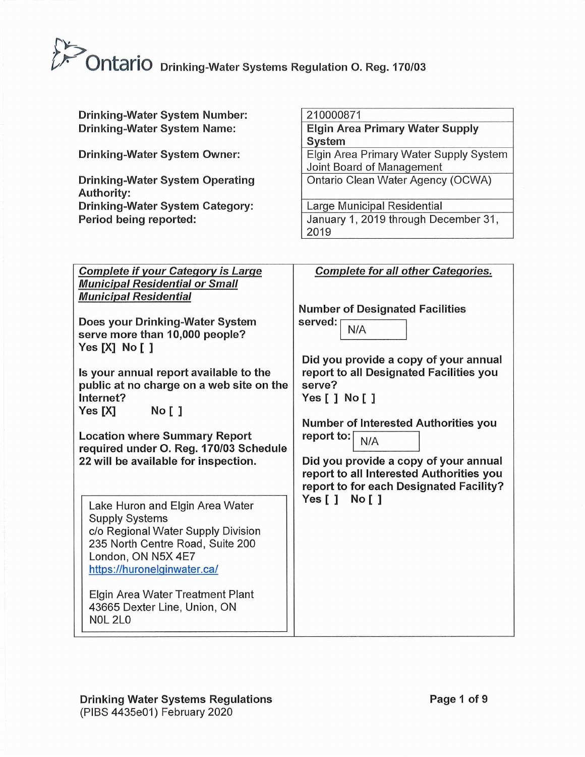## $\sum_{i=1}^n$ **the Duble of the Contain of Tenach Contains Contains Contains Contains Contains Contains Contains Contains Conta**

| <b>Drinking-Water System Number:</b><br><b>Drinking-Water System Name:</b><br>Drinking-Water System Owner:<br><b>Drinking-Water System Operating</b><br><b>Authority:</b><br><b>Drinking-Water System Category:</b><br>Period being reported:                                                                                                                                                                                                                                                                                                                                                                                                                                                                                                             | 210000871<br><b>Elgin Area Primary Water Supply</b><br><b>System</b><br>Elgin Area Primary Water Supply System<br>Joint Board of Management<br>Ontario Clean Water Agency (OCWA)<br><b>Large Municipal Residential</b><br>January 1, 2019 through December 31,<br>2019                                                                                                                                                                |
|-----------------------------------------------------------------------------------------------------------------------------------------------------------------------------------------------------------------------------------------------------------------------------------------------------------------------------------------------------------------------------------------------------------------------------------------------------------------------------------------------------------------------------------------------------------------------------------------------------------------------------------------------------------------------------------------------------------------------------------------------------------|---------------------------------------------------------------------------------------------------------------------------------------------------------------------------------------------------------------------------------------------------------------------------------------------------------------------------------------------------------------------------------------------------------------------------------------|
| <b>Complete if your Category is Large</b><br><b>Municipal Residential or Small</b><br><b>Municipal Residential</b><br>Does your Drinking-Water System<br>serve more than 10,000 people?<br>Yes $[X]$ No $[$ $]$<br>Is your annual report available to the<br>public at no charge on a web site on the<br>Internet?<br><b>No</b> [ ]<br>Yes [X]<br><b>Location where Summary Report</b><br>required under O. Reg. 170/03 Schedule<br>22 will be available for inspection.<br>Lake Huron and Elgin Area Water<br><b>Supply Systems</b><br>c/o Regional Water Supply Division<br>235 North Centre Road, Suite 200<br>London, ON N5X 4E7<br>https://huronelginwater.ca/<br>Elgin Area Water Treatment Plant<br>43665 Dexter Line, Union, ON<br><b>NOL 2L0</b> | <b>Complete for all other Categories.</b><br><b>Number of Designated Facilities</b><br>served:<br>N/A<br>Did you provide a copy of your annual<br>report to all Designated Facilities you<br>serve?<br>Yes [ ] No [ ]<br>Number of Interested Authorities you<br>report to:<br>N/A<br>Did you provide a copy of your annual<br>report to all Interested Authorities you<br>report to for each Designated Facility?<br>Yes[]<br>No [ ] |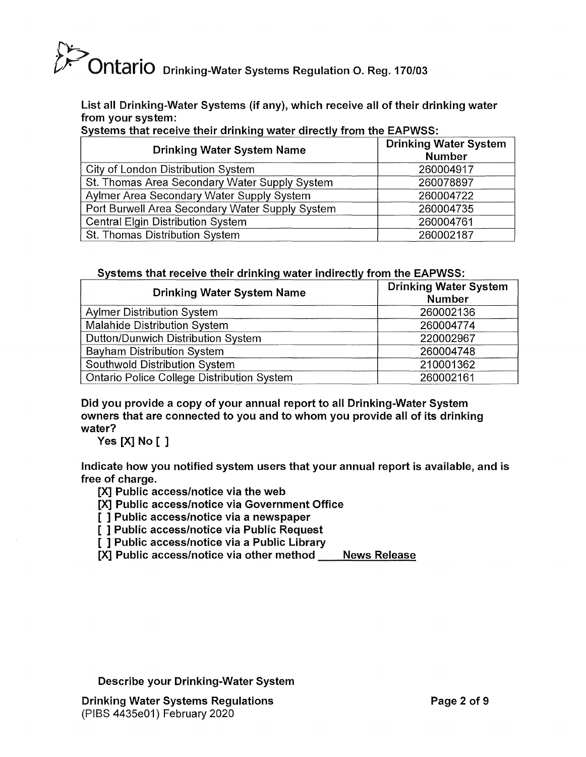# **Childric** Drinking-Water Systems Regulation O. Reg. 170/03

List all Drinking-Water Systems (if any), which receive all of their drinking water from your system:

Systems that receive their drinking water directly from the EAPWSS:

| <b>Drinking Water System Name</b>               | <b>Drinking Water System</b><br><b>Number</b> |
|-------------------------------------------------|-----------------------------------------------|
| City of London Distribution System              | 260004917                                     |
| St. Thomas Area Secondary Water Supply System   | 260078897                                     |
| Aylmer Area Secondary Water Supply System       | 260004722                                     |
| Port Burwell Area Secondary Water Supply System | 260004735                                     |
| <b>Central Elgin Distribution System</b>        | 260004761                                     |
| St. Thomas Distribution System                  | 260002187                                     |

### Systems that receive their drinking water indirectly from the EAPWSS:

| <b>Drinking Water System Name</b>          | <b>Drinking Water System</b><br><b>Number</b> |
|--------------------------------------------|-----------------------------------------------|
| <b>Aylmer Distribution System</b>          | 260002136                                     |
| Malahide Distribution System               | 260004774                                     |
| Dutton/Dunwich Distribution System         | 220002967                                     |
| <b>Bayham Distribution System</b>          | 260004748                                     |
| Southwold Distribution System              | 210001362                                     |
| Ontario Police College Distribution System | 260002161                                     |

Did you provide a copy of your annual report to all Drinking-Water System owners that are connected to you and to whom you provide all of its drinking water?

Yes [X] No [ ]

Indicate how you notified system users that your annual report is available, and is free of charge.

[X] Public access/notice via the web

[X] Public access/notice via Government Office

[ ] Public access/notice via a newspaper

[ ] Public access/notice via Public Request

[ ] Public access/notice via a Public Library

[X] Public access/notice via other method \_\_\_ News Release

Describe your Drinking-Water System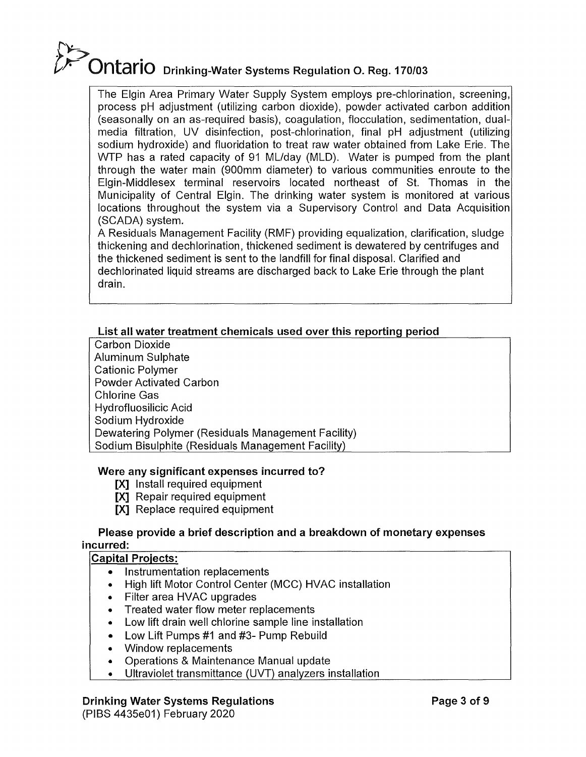## f'):.,:: **F Ontario** Drinking-Water Systems Regulation O. Reg. 170/03

The Elgin Area Primary Water Supply System employs pre-chlorination, screening, process pH adjustment (utilizing carbon dioxide), powder activated carbon addition (seasonally on an as-required basis), coagulation, flocculation, sedimentation, dualmedia filtration, UV disinfection, post-chlorination, final pH adjustment (utilizing sodium hydroxide) and fluoridation to treat raw water obtained from Lake Erie. The WTP has a rated capacity of 91 ML/day (MLD). Water is pumped from the plant through the water main (900mm diameter) to various communities enroute to the Elgin-Middlesex terminal reservoirs located northeast of St. Thomas in the Municipality of Central Elgin. The drinking water system is monitored at various locations throughout the system via a Supervisory Control and Data Acquisition (SCADA) system.

A Residuals Management Facility (RMF) providing equalization, clarification, sludge thickening and dechlorination, thickened sediment is dewatered by centrifuges and the thickened sediment is sent to the landfill for final disposal. Clarified and dechlorinated liquid streams are discharged back to Lake Erie through the plant drain.

## **List all water treatment chemicals used over this reporting period**

Carbon Dioxide Aluminum Sulphate Cationic Polymer Powder Activated Carbon Chlorine Gas Hydrofluosilicic Acid Sodium Hydroxide Dewatering Polymer (Residuals Management Facility) Sodium Bisulphite (Residuals Management Facility)

## **Were any significant expenses incurred to?**

- **[X]** Install required equipment
- **[X]** Repair required equipment
- **[X]** Replace required equipment

#### **Please provide a brief description and a breakdown of monetary expenses incurred:**

## **Capital Projects:**

- Instrumentation replacements
- High lift Motor Control Center (MCC) HVAC installation
- Filter area HVAC upgrades
- Treated water flow meter replacements
- Low lift drain well chlorine sample line installation
- Low Lift Pumps #1 and #3- Pump Rebuild
- Window replacements
- Operations & Maintenance Manual update
- Ultraviolet transmittance (UVT) analyzers installation

## **Drinking Water Systems Regulations**

(PISS 4435e01) February 2020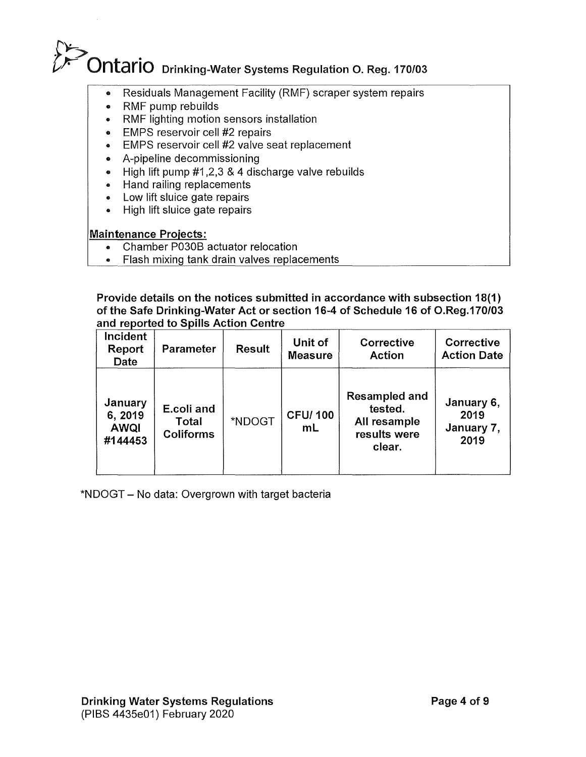# f''):.-:  $\sum$ Ontario Drinking-Water Systems Regulation O. Reg. 170/03

- Residuals Management Facility (RMF) scraper system repairs
- RMF pump rebuilds
- RMF lighting motion sensors installation
- EMPS reservoir cell #2 repairs
- EMPS reservoir cell #2 valve seat replacement
- A-pipeline decommissioning
- High lift pump #1,2,3 & 4 discharge valve rebuilds
- Hand railing replacements
- Low lift sluice gate repairs
- High lift sluice gate repairs

### Maintenance Projects:

- Chamber P030B actuator relocation
- Flash mixing tank drain valves replacements

Provide details on the notices submitted in accordance with subsection 18(1) of the Safe Drinking-Water Act or section 16-4 of Schedule 16 of O.Reg.170/03 and reported to Spills Action Centre

| Incident<br>Report<br><b>Date</b>            | <b>Parameter</b>                        | <b>Result</b> | Unit of<br><b>Measure</b>        | Corrective<br><b>Action</b>                                               | Corrective<br><b>Action Date</b>         |
|----------------------------------------------|-----------------------------------------|---------------|----------------------------------|---------------------------------------------------------------------------|------------------------------------------|
| January<br>6, 2019<br><b>AWQI</b><br>#144453 | E.coli and<br>Total<br><b>Coliforms</b> | *NDOGT        | <b>CFU/100</b><br>m <sub>L</sub> | <b>Resampled and</b><br>tested.<br>All resample<br>results were<br>clear. | January 6,<br>2019<br>January 7,<br>2019 |

\*NDOGT - No data: Overgrown with target bacteria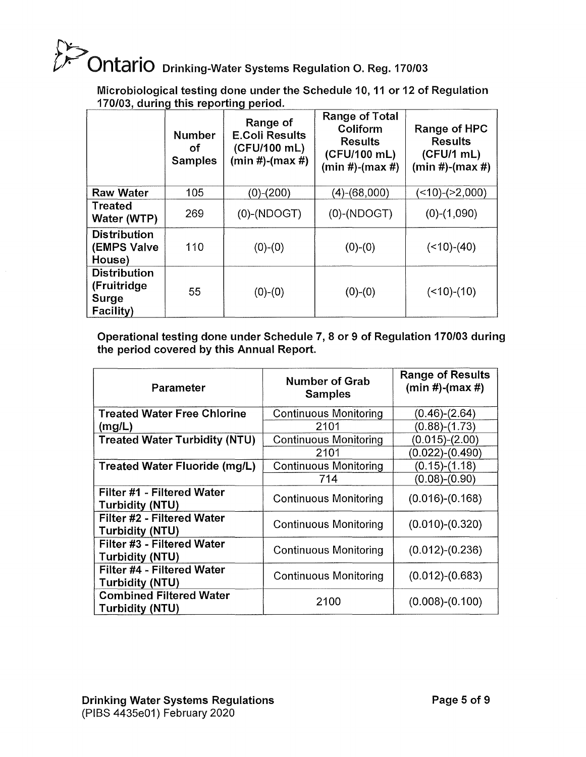# f'~  $\sum$ On $\tan$ io Drinking-Water Systems Regulation O. Reg. 170/03

Microbiological testing done under the Schedule 10, 11 or 12 of Regulation 170/03, during this reporting period.

|                                                                 | <b>Number</b><br>οf<br><b>Samples</b> | Range of<br><b>E.Coli Results</b><br>(CFU/100 mL)<br>$(min #)-(max #)$ | <b>Range of Total</b><br>Coliform<br><b>Results</b><br>(CFU/100 mL)<br>$(min #)-(max #)$ | Range of HPC<br><b>Results</b><br>(CFU/1mL)<br>$(min #)-(max #)$ |
|-----------------------------------------------------------------|---------------------------------------|------------------------------------------------------------------------|------------------------------------------------------------------------------------------|------------------------------------------------------------------|
| <b>Raw Water</b>                                                | 105                                   | (0)-(200)                                                              | (4)-(68,000)                                                                             | $($ < 10) - $($ > 2,000)                                         |
| <b>Treated</b><br>Water (WTP)                                   | 269                                   | $(0)$ - $(NDOGT)$                                                      | $(0)$ - $(NDOGT)$                                                                        | $(0)-(1,090)$                                                    |
| <b>Distribution</b><br><b>(EMPS Valve</b><br>House)             | 110                                   | $(0)-(0)$                                                              | $(0)-(0)$                                                                                | $(<10)-(40)$                                                     |
| <b>Distribution</b><br>(Fruitridge<br><b>Surge</b><br>Facility) | 55                                    | $(0)-(0)$                                                              | $(0)-(0)$                                                                                | $($ < 10) $-(10)$                                                |

Operational testing done under Schedule 7, 8 or 9 of Regulation 170/03 during the period covered by this Annual Report.

| Parameter                                                | <b>Number of Grab</b><br><b>Samples</b> | <b>Range of Results</b><br>$(min #)-(max #)$ |
|----------------------------------------------------------|-----------------------------------------|----------------------------------------------|
| <b>Treated Water Free Chlorine</b>                       | <b>Continuous Monitoring</b>            | $(0.46)-(2.64)$                              |
| (mglL)                                                   | 2101                                    | $(0.88) - (1.73)$                            |
| <b>Treated Water Turbidity (NTU)</b>                     | <b>Continuous Monitoring</b>            | $(0.015)-(2.00)$                             |
|                                                          | 2101                                    | (0.022)-(0.490)                              |
| Treated Water Fluoride (mg/L)                            | <b>Continuous Monitoring</b>            | $(0.15)-(1.18)$                              |
|                                                          | 714                                     | $(0.08)-(0.90)$                              |
| Filter #1 - Filtered Water<br>Turbidity (NTU)            | <b>Continuous Monitoring</b>            | $(0.016)-(0.168)$                            |
| Filter #2 - Filtered Water<br><b>Turbidity (NTU)</b>     | <b>Continuous Monitoring</b>            | $(0.010)-(0.320)$                            |
| Filter #3 - Filtered Water<br><b>Turbidity (NTU)</b>     | <b>Continuous Monitoring</b>            | $(0.012)-(0.236)$                            |
| Filter #4 - Filtered Water<br>Turbidity (NTU)            | <b>Continuous Monitoring</b>            | $(0.012)-(0.683)$                            |
| <b>Combined Filtered Water</b><br><b>Turbidity (NTU)</b> | 2100                                    | $(0.008)-(0.100)$                            |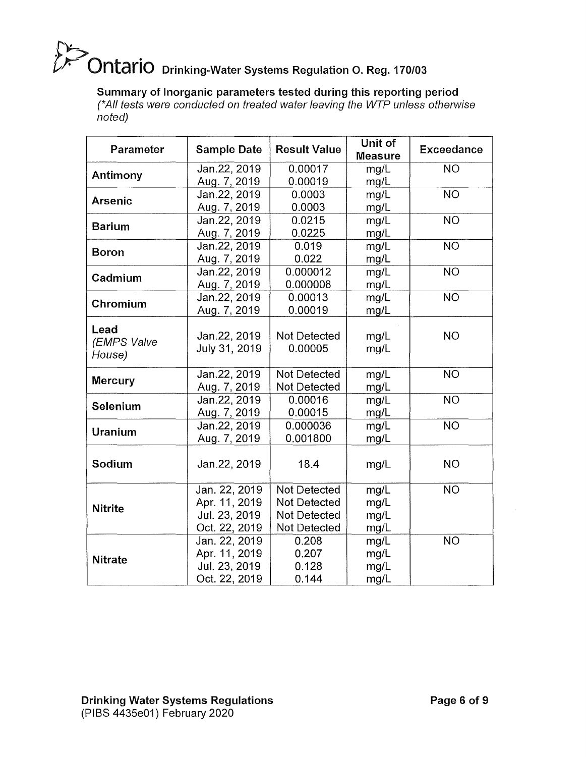# **CALCO** Drinking-Water Systems Regulation O. Reg. 170/03

## Summary of Inorganic parameters tested during this reporting period

(\*All tests were conducted on treated water leaving the WTP unless otherwise noted)

| Parameter                     | <b>Sample Date</b>            | <b>Result Value</b>     | Unit of<br><b>Measure</b> | <b>Exceedance</b> |
|-------------------------------|-------------------------------|-------------------------|---------------------------|-------------------|
|                               | Jan.22, 2019                  | 0.00017                 | mg/L                      | <b>NO</b>         |
| Antimony                      | Aug. 7, 2019                  | 0.00019                 | mg/L                      |                   |
| <b>Arsenic</b>                | Jan.22, 2019                  | 0.0003                  | mg/L                      | <b>NO</b>         |
|                               | Aug. 7, 2019                  | 0.0003                  | mg/L                      |                   |
| <b>Barium</b>                 | Jan.22, 2019                  | 0.0215                  | mg/L                      | <b>NO</b>         |
|                               | Aug. 7, 2019                  | 0.0225                  | mg/L                      |                   |
| <b>Boron</b>                  | Jan.22, 2019                  | 0.019                   | mg/L                      | <b>NO</b>         |
|                               | Aug. 7, 2019                  | 0.022                   | mg/L                      |                   |
| Cadmium                       | Jan.22, 2019                  | 0.000012                | mg/L                      | <b>NO</b>         |
|                               | Aug. 7, 2019                  | 0.000008                | mg/L                      |                   |
| Chromium                      | Jan.22, 2019                  | 0.00013                 | mg/L                      | <b>NO</b>         |
|                               | Aug. 7, 2019                  | 0.00019                 | mg/L                      |                   |
| Lead<br>(EMPS Valve<br>House) | Jan.22, 2019<br>July 31, 2019 | Not Detected<br>0.00005 | mg/L<br>mg/L              | <b>NO</b>         |
| <b>Mercury</b>                | Jan.22, 2019                  | <b>Not Detected</b>     | mg/L                      | <b>NO</b>         |
|                               | Aug. 7, 2019                  | Not Detected            | mg/L                      |                   |
| Selenium                      | Jan.22, 2019                  | 0.00016                 | mg/L                      | <b>NO</b>         |
|                               | Aug. 7, 2019                  | 0.00015                 | mg/L                      |                   |
| <b>Uranium</b>                | Jan.22, 2019                  | 0.000036                | mg/L                      | <b>NO</b>         |
|                               | Aug. 7, 2019                  | 0.001800                | mg/L                      |                   |
| Sodium                        | Jan.22, 2019                  | 18.4                    | mg/L                      | <b>NO</b>         |
|                               | Jan. 22, 2019                 | Not Detected            | mg/L                      | <b>NO</b>         |
| <b>Nitrite</b>                | Apr. 11, 2019                 | Not Detected            | mg/L                      |                   |
|                               | Jul. 23, 2019                 | Not Detected            | mg/L                      |                   |
|                               | Oct. 22, 2019                 | Not Detected            | mg/L                      |                   |
|                               | Jan. 22, 2019                 | 0.208                   | mg/L                      | <b>NO</b>         |
| <b>Nitrate</b>                | Apr. 11, 2019                 | 0.207                   | mg/L                      |                   |
|                               | Jul. 23, 2019                 | 0.128                   | mg/L                      |                   |
|                               | Oct. 22, 2019                 | 0.144                   | mg/L                      |                   |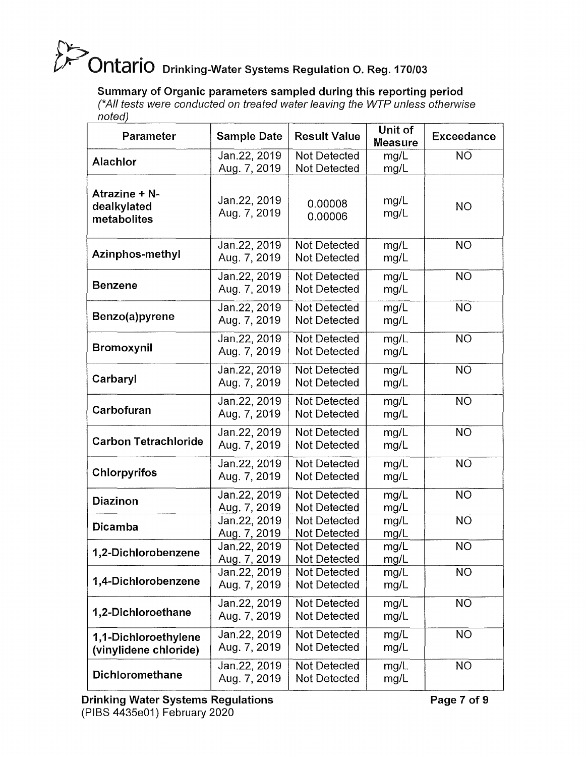# f'~  $\mathbb Z$  Ontario Drinking-Water Systems Regulation O. Reg. 170/03

Summary of Organic parameters sampled during this reporting period

(\*All tests were conducted on treated water leaving the WTP unless otherwise noted)

| <b>Parameter</b>                              | <b>Sample Date</b>           | <b>Result Value</b>                        | Unit of<br><b>Measure</b> | <b>Exceedance</b> |
|-----------------------------------------------|------------------------------|--------------------------------------------|---------------------------|-------------------|
| <b>Alachlor</b>                               | Jan.22, 2019<br>Aug. 7, 2019 | <b>Not Detected</b><br>Not Detected        | mg/L<br>mg/L              | NO                |
| Atrazine + N-<br>dealkylated<br>metabolites   | Jan.22, 2019<br>Aug. 7, 2019 | 0.00008<br>0.00006                         | mg/L<br>mg/L              | <b>NO</b>         |
| Azinphos-methyl                               | Jan.22, 2019<br>Aug. 7, 2019 | Not Detected<br><b>Not Detected</b>        | mg/L<br>mg/L              | <b>NO</b>         |
| <b>Benzene</b>                                | Jan.22, 2019<br>Aug. 7, 2019 | <b>Not Detected</b><br><b>Not Detected</b> | mg/L<br>mg/L              | <b>NO</b>         |
| Benzo(a)pyrene                                | Jan.22, 2019<br>Aug. 7, 2019 | Not Detected<br>Not Detected               | mg/L<br>mg/L              | <b>NO</b>         |
| <b>Bromoxynil</b>                             | Jan.22, 2019<br>Aug. 7, 2019 | Not Detected<br>Not Detected               | mg/L<br>mg/L              | <b>NO</b>         |
| Carbaryl                                      | Jan.22, 2019<br>Aug. 7, 2019 | <b>Not Detected</b><br><b>Not Detected</b> | mg/L<br>mg/L              | <b>NO</b>         |
| Carbofuran                                    | Jan.22, 2019<br>Aug. 7, 2019 | <b>Not Detected</b><br>Not Detected        | mg/L<br>mg/L              | <b>NO</b>         |
| <b>Carbon Tetrachloride</b>                   | Jan.22, 2019<br>Aug. 7, 2019 | Not Detected<br><b>Not Detected</b>        | mg/L<br>mg/L              | <b>NO</b>         |
| <b>Chlorpyrifos</b>                           | Jan.22, 2019<br>Aug. 7, 2019 | <b>Not Detected</b><br>Not Detected        | mg/L<br>mg/L              | <b>NO</b>         |
| <b>Diazinon</b>                               | Jan.22, 2019<br>Aug. 7, 2019 | Not Detected<br>Not Detected               | mg/L<br>mg/L              | <b>NO</b>         |
| <b>Dicamba</b>                                | Jan.22, 2019<br>Aug. 7, 2019 | <b>Not Detected</b><br><b>Not Detected</b> | mg/L<br>mg/L              | <b>NO</b>         |
| 1,2-Dichlorobenzene                           | Jan.22, 2019<br>Aug. 7, 2019 | <b>Not Detected</b><br><b>Not Detected</b> | mg/L<br>mg/L              | <b>NO</b>         |
| 1,4-Dichlorobenzene                           | Jan.22, 2019<br>Aug. 7, 2019 | <b>Not Detected</b><br>Not Detected        | mg/L<br>mg/L              | <b>NO</b>         |
| 1,2-Dichloroethane                            | Jan.22, 2019<br>Aug. 7, 2019 | <b>Not Detected</b><br><b>Not Detected</b> | mg/L<br>mg/L              | <b>NO</b>         |
| 1,1-Dichloroethylene<br>(vinylidene chloride) | Jan.22, 2019<br>Aug. 7, 2019 | <b>Not Detected</b><br><b>Not Detected</b> | mg/L<br>mg/L              | <b>NO</b>         |
| <b>Dichloromethane</b>                        | Jan.22, 2019<br>Aug. 7, 2019 | <b>Not Detected</b><br>Not Detected        | mg/L<br>mg/L              | <b>NO</b>         |

Page 7 of 9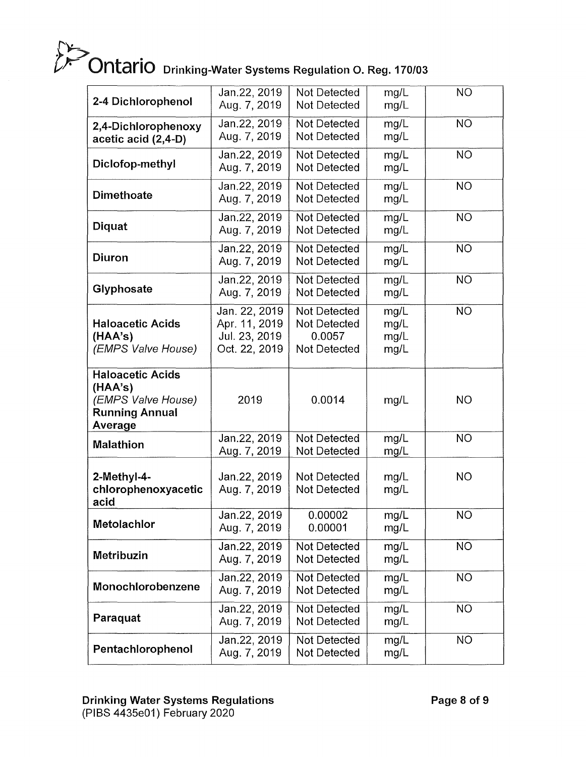# **City**<br>**Prinking-Water Systems Regulation O. Reg. 170/03**

| 2-4 Dichlorophenol                                                                           | Jan.22, 2019<br>Aug. 7, 2019                                     | Not Detected<br><b>Not Detected</b>                                  | mg/L<br>mg/L                 | <b>NO</b> |
|----------------------------------------------------------------------------------------------|------------------------------------------------------------------|----------------------------------------------------------------------|------------------------------|-----------|
| 2,4-Dichlorophenoxy<br>acetic acid (2,4-D)                                                   | Jan.22, 2019<br>Aug. 7, 2019                                     | Not Detected<br><b>Not Detected</b>                                  | mg/L<br>mg/L                 | <b>NO</b> |
| Diclofop-methyl                                                                              | Jan.22, 2019<br>Aug. 7, 2019                                     | Not Detected<br>Not Detected                                         | mg/L<br>mg/L                 | <b>NO</b> |
| <b>Dimethoate</b>                                                                            | Jan.22, 2019<br>Aug. 7, 2019                                     | <b>Not Detected</b><br><b>Not Detected</b>                           | mg/L<br>mg/L                 | <b>NO</b> |
| Diquat                                                                                       | Jan.22, 2019<br>Aug. 7, 2019                                     | <b>Not Detected</b><br><b>Not Detected</b>                           | mg/L<br>mg/L                 | <b>NO</b> |
| <b>Diuron</b>                                                                                | Jan.22, 2019<br>Aug. 7, 2019                                     | Not Detected<br>Not Detected                                         | mg/L<br>mg/L                 | <b>NO</b> |
| Glyphosate                                                                                   | Jan.22, 2019<br>Aug. 7, 2019                                     | <b>Not Detected</b><br><b>Not Detected</b>                           | mg/L<br>mg/L                 | <b>NO</b> |
| <b>Haloacetic Acids</b><br>(HAA's)<br>(EMPS Valve House)                                     | Jan. 22, 2019<br>Apr. 11, 2019<br>Jul. 23, 2019<br>Oct. 22, 2019 | <b>Not Detected</b><br><b>Not Detected</b><br>0.0057<br>Not Detected | mg/L<br>mg/L<br>mg/L<br>mg/L | <b>NO</b> |
| <b>Haloacetic Acids</b><br>(HAA's)<br>(EMPS Valve House)<br><b>Running Annual</b><br>Average | 2019                                                             | 0.0014                                                               | mg/L                         | <b>NO</b> |
| <b>Malathion</b>                                                                             | Jan.22, 2019<br>Aug. 7, 2019                                     | <b>Not Detected</b><br><b>Not Detected</b>                           | mg/L<br>mg/L                 | <b>NO</b> |
| 2-Methyl-4-<br>chlorophenoxyacetic<br>acid                                                   | Jan.22, 2019<br>Aug. 7, 2019                                     | <b>Not Detected</b><br><b>Not Detected</b>                           | mg/L<br>mg/L                 | <b>NO</b> |
| <b>Metolachlor</b>                                                                           | Jan.22, 2019<br>Aug. 7, 2019                                     | 0.00002<br>0.00001                                                   | mg/L<br>mg/L                 | <b>NO</b> |
| <b>Metribuzin</b>                                                                            | Jan.22, 2019<br>Aug. 7, 2019                                     | Not Detected<br>Not Detected                                         | mg/L<br>mg/L                 | <b>NO</b> |
| Monochlorobenzene                                                                            | Jan. 22, 2019<br>Aug. 7, 2019                                    | <b>Not Detected</b><br>Not Detected                                  | mg/L<br>mg/L                 | <b>NO</b> |
| Paraquat                                                                                     | Jan.22, 2019<br>Aug. 7, 2019                                     | Not Detected<br><b>Not Detected</b>                                  | mg/L<br>mg/L                 | <b>NO</b> |
| Pentachlorophenol                                                                            | Jan.22, 2019<br>Aug. 7, 2019                                     | <b>Not Detected</b><br>Not Detected                                  | mg/L<br>mg/L                 | <b>NO</b> |